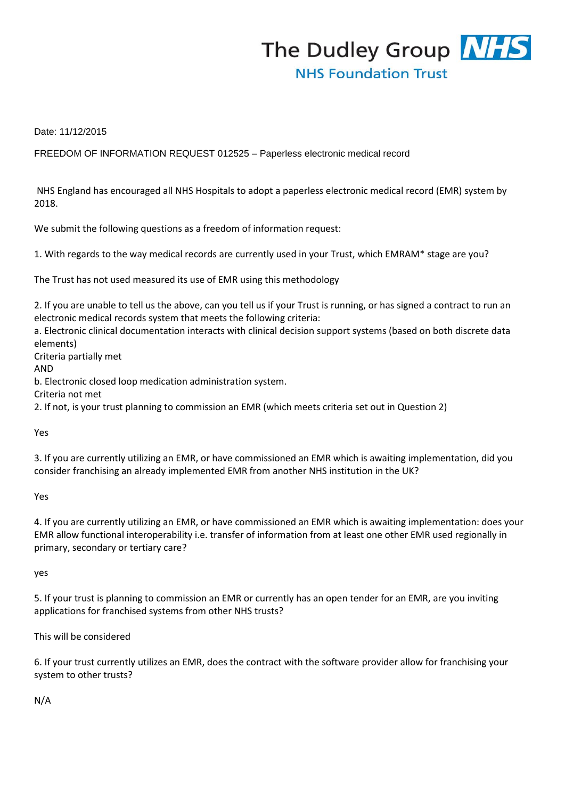

Date: 11/12/2015

FREEDOM OF INFORMATION REQUEST 012525 – Paperless electronic medical record

NHS England has encouraged all NHS Hospitals to adopt a paperless electronic medical record (EMR) system by 2018.

We submit the following questions as a freedom of information request:

1. With regards to the way medical records are currently used in your Trust, which EMRAM\* stage are you?

The Trust has not used measured its use of EMR using this methodology

2. If you are unable to tell us the above, can you tell us if your Trust is running, or has signed a contract to run an electronic medical records system that meets the following criteria:

a. Electronic clinical documentation interacts with clinical decision support systems (based on both discrete data elements)

Criteria partially met

AND

b. Electronic closed loop medication administration system.

Criteria not met

2. If not, is your trust planning to commission an EMR (which meets criteria set out in Question 2)

Yes

3. If you are currently utilizing an EMR, or have commissioned an EMR which is awaiting implementation, did you consider franchising an already implemented EMR from another NHS institution in the UK?

Yes

4. If you are currently utilizing an EMR, or have commissioned an EMR which is awaiting implementation: does your EMR allow functional interoperability i.e. transfer of information from at least one other EMR used regionally in primary, secondary or tertiary care?

yes

5. If your trust is planning to commission an EMR or currently has an open tender for an EMR, are you inviting applications for franchised systems from other NHS trusts?

This will be considered

6. If your trust currently utilizes an EMR, does the contract with the software provider allow for franchising your system to other trusts?

N/A